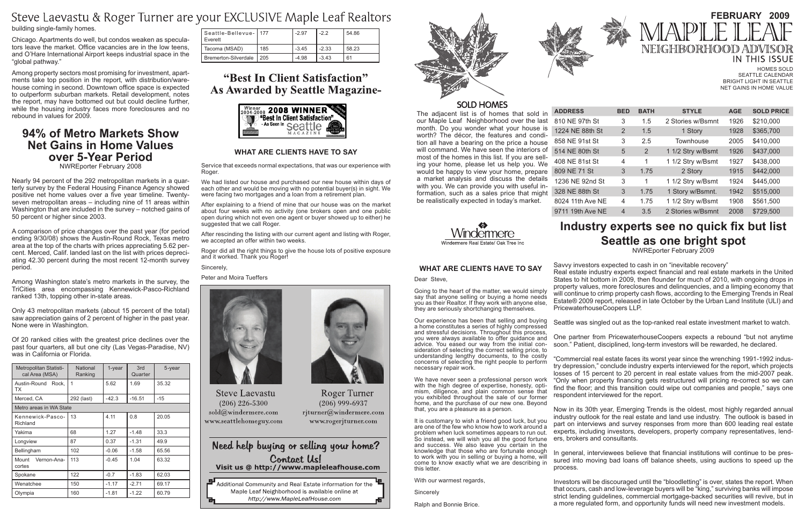The adjacent list is of homes that sold in our Maple Leaf Neighborhood over the last month. Do you wonder what your house is worth? The décor, the features and condition all have a bearing on the price a house will command. We have seen the interiors of most of the homes in this list. If you are selling your home, please let us help you. We would be happy to view your home, prepare a market analysis and discuss the details with you. We can provide you with useful information, such as a sales price that might be realistically expected in today's market.

 $ADDRESS$ 810 NE 97th 1224 NE 88th 858 NE 91st 514 NE 80th 408 NE 81st 809 NE 71 S 1236 NE 92r 328 NE 88th 8024 11th Av

9711 19th A

### **What Are Clients Have to Say**

Dear

Going to the heart of the matter, we would simply say that anyone selling or buying a home needs you as their Realtor. If they work with anyone else, they are seriously shortchanging themselves.

It is customary to wish a friend good luck, but you are one of the few who know how to work around a problem when luck sometimes appears to run out. So instead, we will wish you all the good fortune and success. We also leave you certain in the knowledge that those who are fortunate enough to work with you in selling or buying a home, will come to know exactly what we are describing in this letter.

Our experience has been that selling and buying a home constitutes a series of highly compressed and stressful decisions. Throughout this process, you were always available to offer guidance and advice. You eased our way from the initial consideration of selecting the correct selling price, to understanding lengthy documents, to the costly concerns of selecting the right people to perform necessary repair work.

We have never seen a professional person work with the high degree of expertise, honesty, optimism, diligence, and plain common sense that you exhibited throughout the sale of our former home, and the purchase of our new one. Beyond that, you are a pleasure as a person.

With our warmest regards,

**Sincerely** 

Ralph and Bonnie Brice.

# **Industry experts see no quick fix but list Seattle as one bright spot**

NWREporter February 2009

Savvy investors expected to cash in on "inevitable recovery"

Real estate industry experts expect financial and real estate markets in the United States to hit bottom in 2009, then flounder for much of 2010, with ongoing drops in property values, more foreclosures and delinquencies, and a limping economy that will continue to crimp property cash flows, according to the Emerging Trends in Real Estate® 2009 report, released in late October by the Urban Land Institute (ULI) and PricewaterhouseCoopers LLP.

Seattle was singled out as the top-ranked real estate investment market to watch.

One partner from PricewaterhouseCoopers expects a rebound "but not anytime soon." Patient, disciplined, long-term investors will be rewarded, he declared.

HOMES SOLD Seattle Calendar Bright light in Seattle Net gains in Home Value

|           | <b>BED</b> | <b>BATH</b> | <b>STYLE</b>      | <b>AGE</b> | <b>SOLD PRICE</b> |
|-----------|------------|-------------|-------------------|------------|-------------------|
| <b>St</b> | 3          | 1.5         | 2 Stories w/Bsmnt | 1926       | \$210,000         |
| n St      | 2          | 1.5         | 1 Story           | 1928       | \$365,700         |
| St        | 3          | 2.5         | Townhouse         | 2005       | \$410,000         |
| <b>St</b> | 5          | 2           | 1 1/2 Stry w/Bsmt | 1926       | \$437,000         |
| <b>St</b> | 4          | 1           | 1 1/2 Stry w/Bsmt | 1927       | \$438,000         |
| t         | 3          | 1.75        | 2 Story           | 1915       | \$442,000         |
| ıd St     | 3          | 1           | 1 1/2 Stry w/Bsmt | 1924       | \$445,000         |
| <b>St</b> | 3          | 1.75        | 1 Story w/Bsmnt.  | 1942       | \$515,000         |
| e NE      | 4          | 1.75        | 1 1/2 Stry w/Bsmt | 1908       | \$561,500         |
| e NE      | 4          | 3.5         | 2 Stories w/Bsmnt | 2008       | \$729,500         |

"Commercial real estate faces its worst year since the wrenching 1991-1992 industry depression," conclude industry experts interviewed for the report, which projects losses of 15 percent to 20 percent in real estate values from the mid-2007 peak. "Only when property financing gets restructured will pricing re-correct so we can find the floor; and this transition could wipe out companies and people," says one respondent interviewed for the report.



# **February 2009** NEIGHBORHOOD IN THIS ISSUE

After explaining to a friend of mine that our house was on the market about four weeks with no activity (one brokers open and one public open during which not even one agent or buyer showed up to either) he suggested that we call Roger.

> Now in its 30th year, Emerging Trends is the oldest, most highly regarded annual industry outlook for the real estate and land use industry. The outlook is based in part on interviews and survey responses from more than 600 leading real estate experts, including investors, developers, property company representatives, lenders, brokers and consultants.

> In general, interviewees believe that financial institutions will continue to be pressured into moving bad loans off balance sheets, using auctions to speed up the

process.

Investors will be discouraged until the "bloodletting" is over, states the report. When that occurs, cash and low-leverage buyers will be "king," surviving banks will impose strict lending guidelines, commercial mortgage-backed securities will revive, but in a more regulated form, and opportunity funds will need new investment models.

|        |  | IAL ARE VEIERRY LIAVE TV VAL                                             |  |  |
|--------|--|--------------------------------------------------------------------------|--|--|
| Steve. |  |                                                                          |  |  |
|        |  | ورودانه الرازرورزز وزرز وروائلهم ووزام والمائل لاورو والراوات والمارونين |  |  |

# Steve Laevastu & Roger Turner are your EXCLUSIVE Maple Leaf Realtors

building single-family homes.

Chicago. Apartments do well, but condos weaken as speculators leave the market. Office vacancies are in the low teens, and O'Hare International Airport keeps industrial space in the "global pathway."

Among property sectors most promising for investment, apartments take top position in the report, with distribution/warehouse coming in second. Downtown office space is expected to outperform suburban markets. Retail development, notes the report, may have bottomed out but could decline further, while the housing industry faces more foreclosures and no rebound in values for 2009.

# **94% of Metro Markets Show Net Gains in Home Values over 5-Year Period**

NWREporter February 2008

Nearly 94 percent of the 292 metropolitan markets in a quarterly survey by the Federal Housing Finance Agency showed positive net home values over a five year timeline. Twentyseven metropolitan areas – including nine of 11 areas within Washington that are included in the survey – notched gains of 50 percent or higher since 2003.

A comparison of price changes over the past year (for period ending 9/30/08) shows the Austin-Round Rock, Texas metro area at the top of the charts with prices appreciating 5.62 percent. Merced, Calif. landed last on the list with prices depreciating 42.30 percent during the most recent 12-month survey period.

Among Washington state's metro markets in the survey, the TriCities area encompassing Kennewick-Pasco-Richland ranked 13th, topping other in-state areas.

Only 43 metropolitan markets (about 15 percent of the total) saw appreciation gains of 2 percent of higher in the past year. None were in Washington.

Of 20 ranked cities with the greatest price declines over the past four quarters, all but one city (Las Vegas-Paradise, NV) was in California or Florida.

| Metropolitan Statisti-<br>cal Area (MSA) | National<br>Ranking | $1$ -year | 3rd<br>Quarter | 5-year |
|------------------------------------------|---------------------|-----------|----------------|--------|
| Austin-Round<br>Rock.<br>ТX              | 1                   | 5.62      | 1.69           | 35.32  |
| Merced, CA                               | 292 (last)          | $-42.3$   | $-16.51$       | $-15$  |
| Metro areas in WA State                  |                     |           |                |        |
| Kennewick-Pasco-<br>Richland             | 13                  | 4.11      | 0.8            | 20.05  |
| Yakima                                   | 68                  | 1.27      | $-1.48$        | 33.3   |
| Longview                                 | 87                  | 0.37      | $-1.31$        | 49.9   |
| Bellingham                               | 102                 | $-0.06$   | $-1.58$        | 65.56  |
| Mount<br>Vernon-Ana-<br>cortes           | 113                 | $-0.45$   | 1.04           | 63.32  |
| Spokane                                  | 122                 | $-0.7$    | $-1.83$        | 62.03  |
| Wenatchee                                | 150                 | $-1.17$   | $-2.71$        | 69.17  |
| Olympia                                  | 160                 | $-1.81$   | $-1.22$        | 60.79  |

| Seattle-Bellevue-   177<br>I Everett |     | $-2.97$ | -22     | 54.86 |
|--------------------------------------|-----|---------|---------|-------|
| Tacoma (MSAD)                        | 185 | $-3.45$ | $-2.33$ | 58.23 |
| Bremerton-Silverdale                 | 205 | $-4.98$ | $-3.43$ | 61    |

# "Best In Client Satisfaction" **As Awarded by Seattle Magazine-**



### **What Are Clients Have to Say**

Service that exceeds normal expectations, that was our experience with Roger.

We had listed our house and purchased our new house within days of each other and would be moving with no potential buyer(s) in sight. We were facing two mortgages and a loan from a retirement plan.

After rescinding the listing with our current agent and listing with Roger, we accepted an offer within two weeks.

Roger did all the right things to give the house lots of positive exposure and it worked. Thank you Roger!

#### Sincerely,

Peter and Moira Tueffers



**Steve Laevastu**  $(206)$  226-5300 sold@windermere.com www.seattlehomeguy.com



**Roger Turner**  $(206)$  999-6937 rjturner@windermere.com www.rogerjturner.com







## **SOLD HOMES**